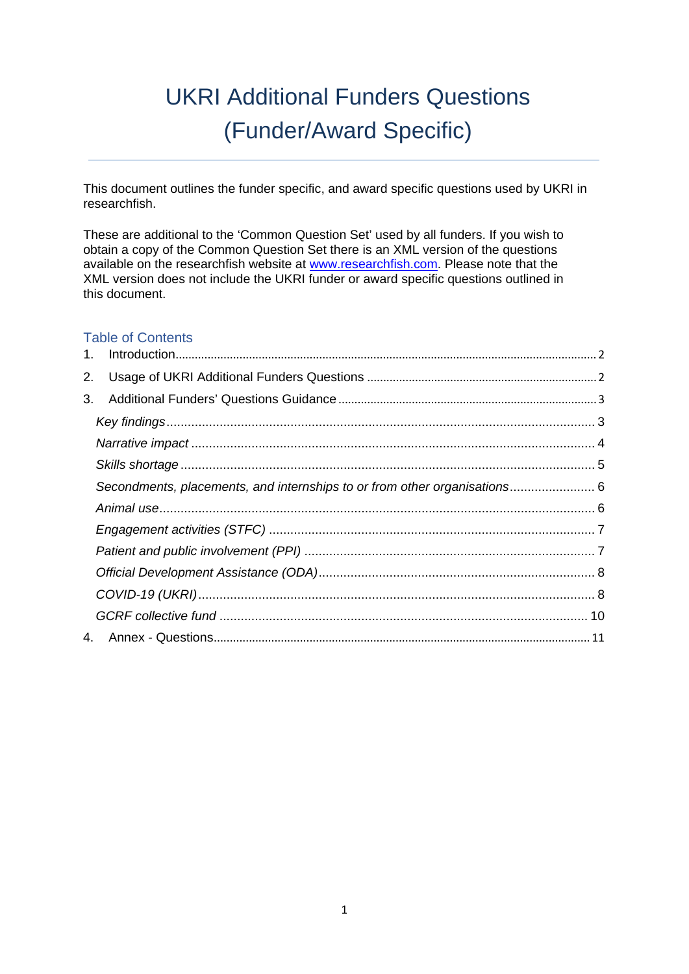# UKRI Additional Funders Questions (Funder/Award Specific)

This document outlines the funder specific, and award specific questions used by UKRI in researchfish.

These are additional to the 'Common Question Set' used by all funders. If you wish to obtain a copy of the Common Question Set there is an XML version of the questions available on [t](http://www.researchfish.com/)he researchfish website at [www.researchfish.com.](http://www.researchfish.com/) [Pl](http://www.researchfish.com/)ease note that the XML version does not include the UKRI funder or award specific questions outlined in this document.

# Table of Contents

| 2. |                                                                           |  |
|----|---------------------------------------------------------------------------|--|
| 3. |                                                                           |  |
|    |                                                                           |  |
|    |                                                                           |  |
|    |                                                                           |  |
|    | Secondments, placements, and internships to or from other organisations 6 |  |
|    |                                                                           |  |
|    |                                                                           |  |
|    |                                                                           |  |
|    |                                                                           |  |
|    |                                                                           |  |
|    |                                                                           |  |
|    |                                                                           |  |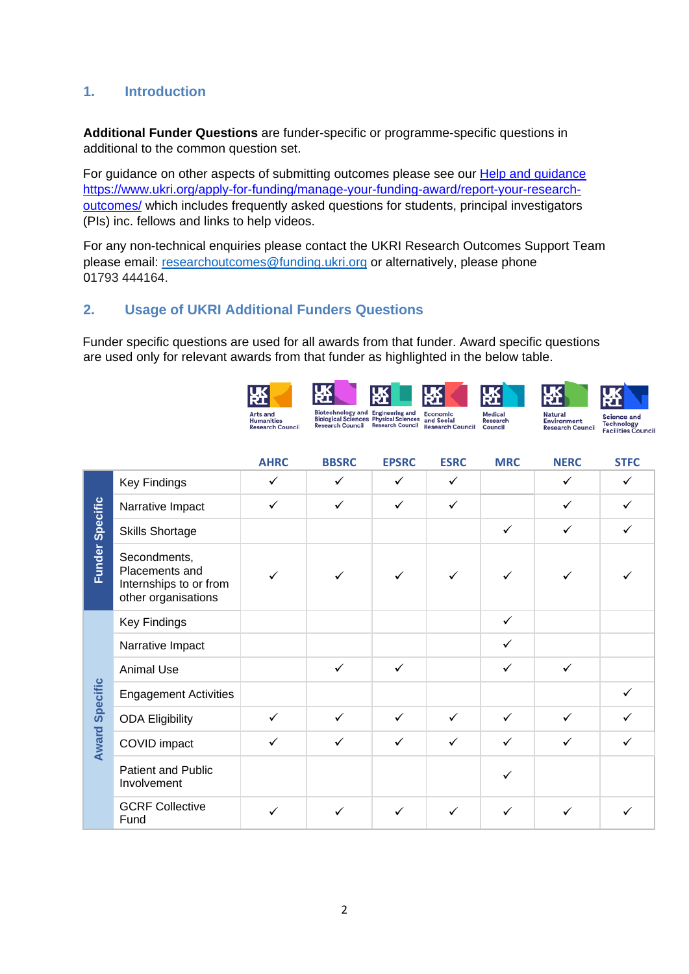# <span id="page-1-0"></span>**1. Introduction**

**Additional Funder Questions** are funder-specific or programme-specific questions in additional to the common question set.

For guidance on other aspects of submitting outcomes please see our [Help and guidance](https://www.ukri.org/funding/information-for-award-holders/research-outcomes/help-and-guidance/) [https://www.ukri.org/apply-for-funding/manage-your-funding-award/report-your-research](https://www.ukri.org/apply-for-funding/manage-your-funding-award/report-your-research-outcomes/)[outcomes/](https://www.ukri.org/apply-for-funding/manage-your-funding-award/report-your-research-outcomes/) which includes frequently asked questions for students, principal investigators (PIs) inc. fellows and links to help videos.

For any non-technical enquiries please contact the UKRI Research Outcomes Support Team please email: researchoutcomes@funding.ukri.org or alternatively, please phone 01793 444164.

# <span id="page-1-1"></span>**2. Usage of UKRI Additional Funders Questions**

Funder specific questions are used for all awards from that funder. Award specific questions are used only for relevant awards from that funder as highlighted in the below table.



|                       |                                                                                 | <b>AHRC</b>  | <b>BBSRC</b> | <b>EPSRC</b> | <b>ESRC</b>  | <b>MRC</b>   | <b>NERC</b>  | <b>STFC</b>  |
|-----------------------|---------------------------------------------------------------------------------|--------------|--------------|--------------|--------------|--------------|--------------|--------------|
|                       | <b>Key Findings</b>                                                             | $\checkmark$ | ✓            | $\checkmark$ | $\checkmark$ |              | ✓            | ✓            |
|                       | Narrative Impact                                                                | $\checkmark$ | $\checkmark$ | $\checkmark$ | $\checkmark$ |              | $\checkmark$ | $\checkmark$ |
|                       | <b>Skills Shortage</b>                                                          |              |              |              |              | $\checkmark$ | $\checkmark$ |              |
| Funder Specific       | Secondments,<br>Placements and<br>Internships to or from<br>other organisations | ✓            |              | $\checkmark$ | $\checkmark$ | ✓            |              |              |
|                       | <b>Key Findings</b>                                                             |              |              |              |              | $\checkmark$ |              |              |
|                       | Narrative Impact                                                                |              |              |              |              | $\checkmark$ |              |              |
|                       | Animal Use                                                                      |              | $\checkmark$ | $\checkmark$ |              | $\checkmark$ | $\checkmark$ |              |
| <b>Award Specific</b> | <b>Engagement Activities</b>                                                    |              |              |              |              |              |              | ✓            |
|                       | <b>ODA Eligibility</b>                                                          | $\checkmark$ | $\checkmark$ | $\checkmark$ | $\checkmark$ | $\checkmark$ | $\checkmark$ | ✓            |
|                       | COVID impact                                                                    | $\checkmark$ | $\checkmark$ | $\checkmark$ | $\checkmark$ | $\checkmark$ | ✓            |              |
|                       | Patient and Public<br>Involvement                                               |              |              |              |              |              |              |              |
|                       | <b>GCRF Collective</b><br>Fund                                                  | $\checkmark$ | ✓            | ✓            | ✓            | ✓            | ✓            |              |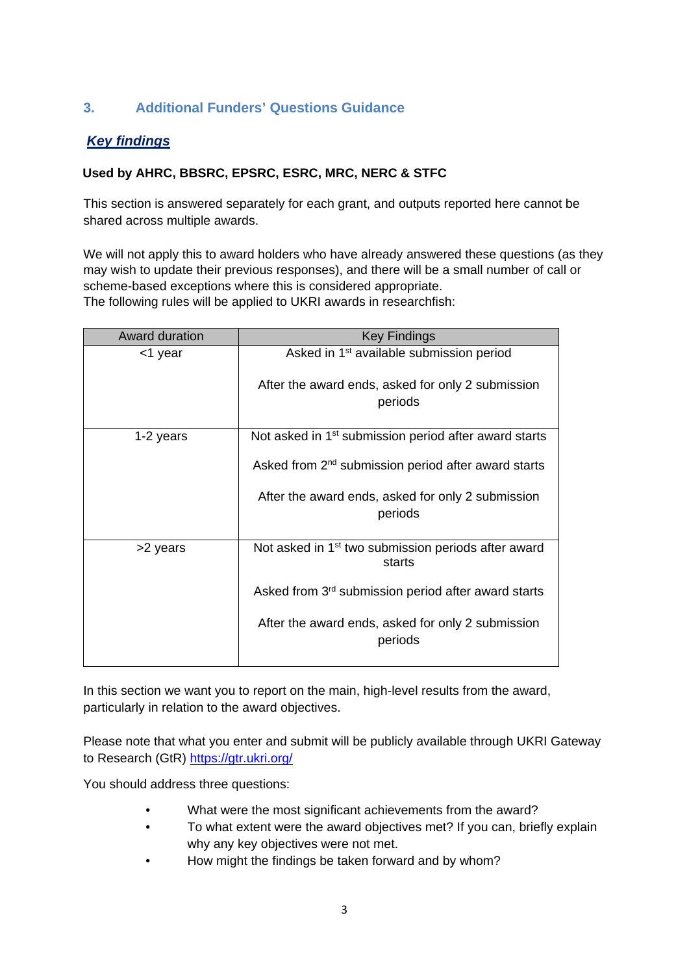# <span id="page-2-0"></span>**3. Additional Funders' Questions Guidance**

# <span id="page-2-1"></span>*Key findings*

#### **Used by AHRC, BBSRC, EPSRC, ESRC, MRC, NERC & STFC**

This section is answered separately for each grant, and outputs reported here cannot be shared across multiple awards.

We will not apply this to award holders who have already answered these questions (as they may wish to update their previous responses), and there will be a small number of call or scheme-based exceptions where this is considered appropriate. The following rules will be applied to UKRI awards in researchfish:

Award duration **Award duration** <1 year Asked in 1st available submission period After the award ends, asked for only 2 submission periods 1-2 years  $\blacksquare$  Not asked in 1<sup>st</sup> submission period after award starts Asked from 2<sup>nd</sup> submission period after award starts After the award ends, asked for only 2 submission periods  $>$ 2 years  $\vert$  Not asked in 1<sup>st</sup> two submission periods after award starts Asked from 3rd submission period after award starts After the award ends, asked for only 2 submission periods

In this section we want you to report on the main, high-level results from the award, particularly in relation to the award objectives.

Please note that what you enter and submit will be publicly available through UKRI Gateway to Research (GtR)<https://gtr.ukri.org/>

You should address three questions:

- What were the most significant achievements from the award?
- To what extent were the award objectives met? If you can, briefly explain why any key objectives were not met.
- How might the findings be taken forward and by whom?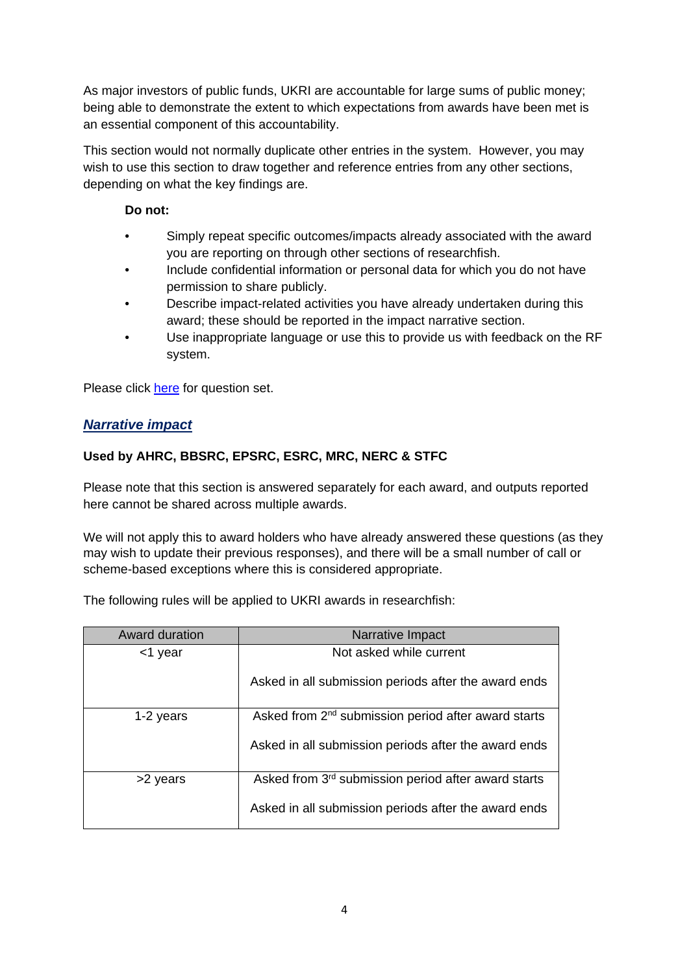As major investors of public funds, UKRI are accountable for large sums of public money; being able to demonstrate the extent to which expectations from awards have been met is an essential component of this accountability.

This section would not normally duplicate other entries in the system. However, you may wish to use this section to draw together and reference entries from any other sections, depending on what the key findings are.

# **Do not:**

- Simply repeat specific outcomes/impacts already associated with the award you are reporting on through other sections of researchfish.
- Include confidential information or personal data for which you do not have permission to share publicly.
- Describe impact-related activities you have already undertaken during this award; these should be reported in the impact narrative section.
- Use inappropriate language or use this to provide us with feedback on the RF system.

Please click [here](#page-10-1) for question set.

# <span id="page-3-0"></span>*Narrative impact*

# **Used by AHRC, BBSRC, EPSRC, ESRC, MRC, NERC & STFC**

Please note that this section is answered separately for each award, and outputs reported here cannot be shared across multiple awards.

We will not apply this to award holders who have already answered these questions (as they may wish to update their previous responses), and there will be a small number of call or scheme-based exceptions where this is considered appropriate.

The following rules will be applied to UKRI awards in researchfish:

| Award duration | Narrative Impact                                                |
|----------------|-----------------------------------------------------------------|
| <1 year        | Not asked while current                                         |
|                | Asked in all submission periods after the award ends            |
| 1-2 years      | Asked from 2 <sup>nd</sup> submission period after award starts |
|                | Asked in all submission periods after the award ends            |
| >2 years       | Asked from 3 <sup>rd</sup> submission period after award starts |
|                | Asked in all submission periods after the award ends            |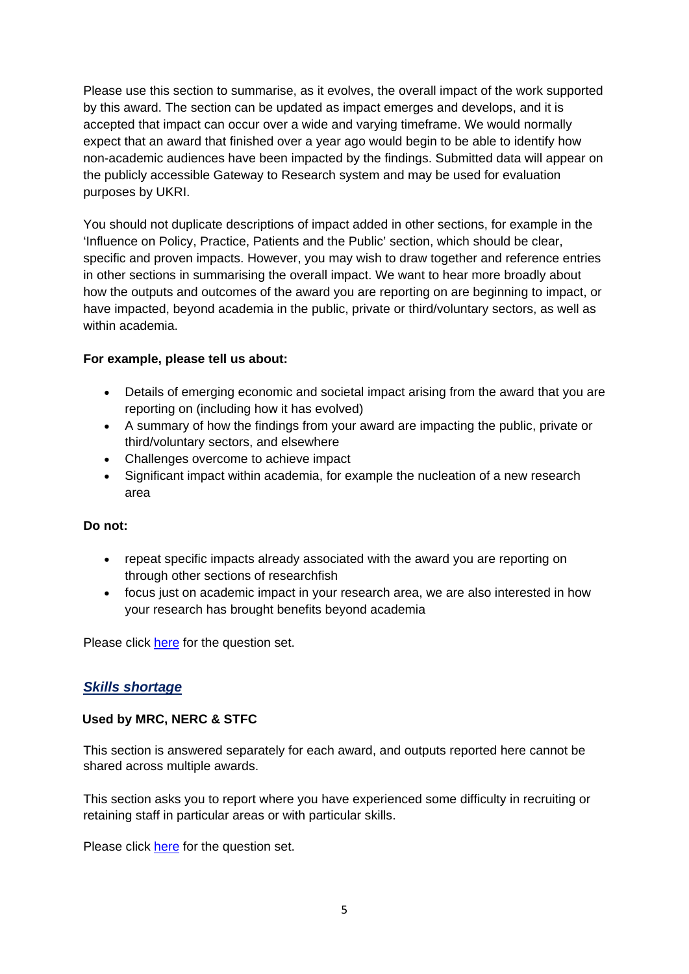Please use this section to summarise, as it evolves, the overall impact of the work supported by this award. The section can be updated as impact emerges and develops, and it is accepted that impact can occur over a wide and varying timeframe. We would normally expect that an award that finished over a year ago would begin to be able to identify how non-academic audiences have been impacted by the findings. Submitted data will appear on the publicly accessible Gateway to Research system and may be used for evaluation purposes by UKRI.

You should not duplicate descriptions of impact added in other sections, for example in the 'Influence on Policy, Practice, Patients and the Public' section, which should be clear, specific and proven impacts. However, you may wish to draw together and reference entries in other sections in summarising the overall impact. We want to hear more broadly about how the outputs and outcomes of the award you are reporting on are beginning to impact, or have impacted, beyond academia in the public, private or third/voluntary sectors, as well as within academia.

#### **For example, please tell us about:**

- Details of emerging economic and societal impact arising from the award that you are reporting on (including how it has evolved)
- A summary of how the findings from your award are impacting the public, private or third/voluntary sectors, and elsewhere
- Challenges overcome to achieve impact
- Significant impact within academia, for example the nucleation of a new research area

#### **Do not:**

- repeat specific impacts already associated with the award you are reporting on through other sections of researchfish
- focus just on academic impact in your research area, we are also interested in how your research has brought benefits beyond academia

Please click [here](#page-11-0) for the question set.

# <span id="page-4-0"></span>*Skills shortage*

#### **Used by MRC, NERC & STFC**

This section is answered separately for each award, and outputs reported here cannot be shared across multiple awards.

This section asks you to report where you have experienced some difficulty in recruiting or retaining staff in particular areas or with particular skills.

Please click [here](#page-13-0) for the question set.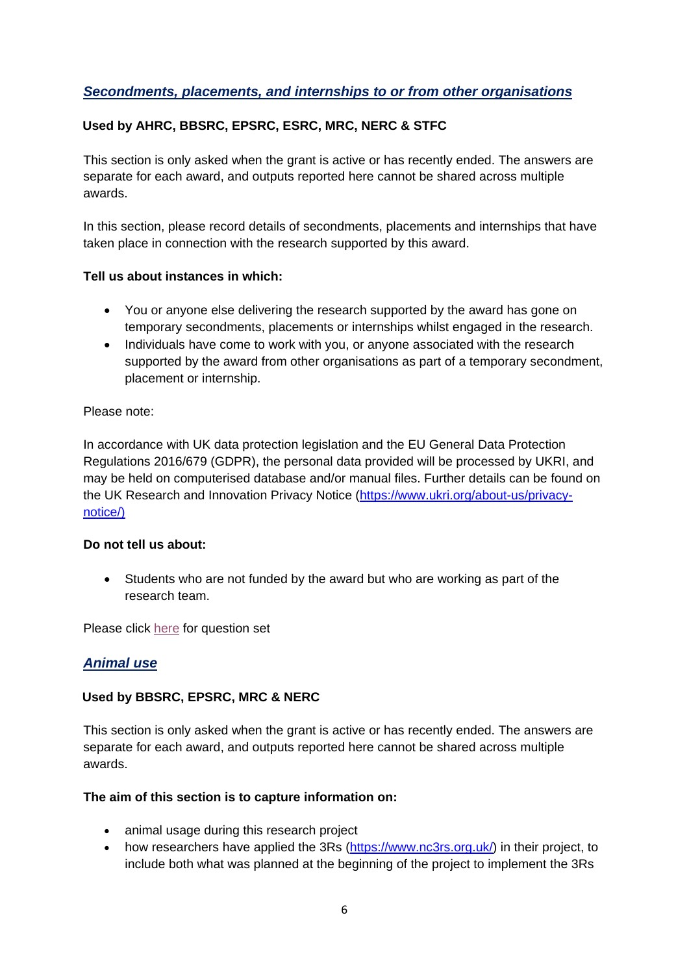# <span id="page-5-0"></span>*Secondments, placements, and internships to or from other organisations*

# **Used by AHRC, BBSRC, EPSRC, ESRC, MRC, NERC & STFC**

This section is only asked when the grant is active or has recently ended. The answers are separate for each award, and outputs reported here cannot be shared across multiple awards.

In this section, please record details of secondments, placements and internships that have taken place in connection with the research supported by this award.

#### **Tell us about instances in which:**

- You or anyone else delivering the research supported by the award has gone on temporary secondments, placements or internships whilst engaged in the research.
- Individuals have come to work with you, or anyone associated with the research supported by the award from other organisations as part of a temporary secondment, placement or internship.

#### Please note:

In accordance with UK data protection legislation and the EU General Data Protection Regulations 2016/679 (GDPR), the personal data provided will be processed by UKRI, and may be held on computerised database and/or manual files. Further details can be found on the UK Research and Innovation Privacy Notice [\(https://www.ukri.org/about-us/privacy](https://www.ukri.org/about-us/privacy-notice/)[notice/\)](https://www.ukri.org/about-us/privacy-notice/)

#### **Do not tell us about:**

• Students who are not funded by the award but who are working as part of the research team.

Please click [here](#page-13-1) for question set

# <span id="page-5-1"></span>*Animal use*

#### **Used by BBSRC, EPSRC, MRC & NERC**

This section is only asked when the grant is active or has recently ended. The answers are separate for each award, and outputs reported here cannot be shared across multiple awards.

#### **The aim of this section is to capture information on:**

- animal usage during this research project
- how researchers have applied the 3Rs [\(https://www.nc3rs.org.uk/\)](https://www.nc3rs.org.uk/) in their project, to include both what was planned at the beginning of the project to implement the 3Rs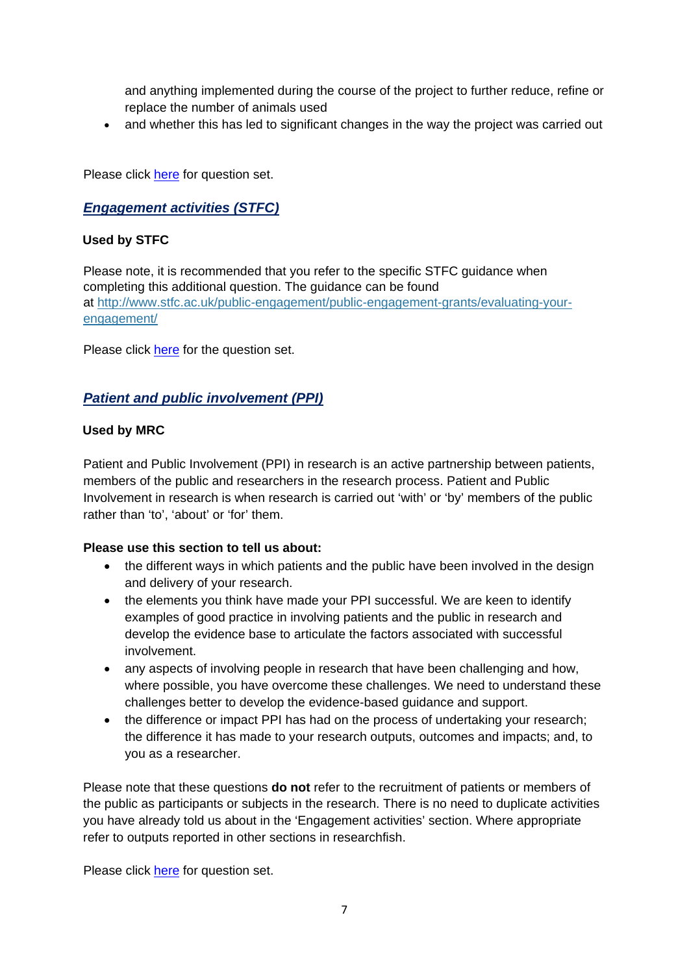and anything implemented during the course of the project to further reduce, refine or replace the number of animals used

• and whether this has led to significant changes in the way the project was carried out

Please click [here](#page-14-0) for question set.

# <span id="page-6-0"></span>*Engagement activities (STFC)*

#### **Used by STFC**

Please note, it is recommended that you refer to the specific STFC guidance when completing this additional question. The guidance can be found at [http://www.stfc.ac.uk/public-engagement/public-engagement-grants/evaluating-your](http://www.stfc.ac.uk/public-engagement/public-engagement-grants/evaluating-your-engagement/)[engagement/](http://www.stfc.ac.uk/public-engagement/public-engagement-grants/evaluating-your-engagement/)

Please click [here](#page-17-0) for the question set.

# <span id="page-6-1"></span>*Patient and public involvement (PPI)*

#### **Used by MRC**

Patient and Public Involvement (PPI) in research is an active partnership between patients, members of the public and researchers in the research process. Patient and Public Involvement in research is when research is carried out 'with' or 'by' members of the public rather than 'to', 'about' or 'for' them.

#### **Please use this section to tell us about:**

- the different ways in which patients and the public have been involved in the design and delivery of your research.
- the elements you think have made your PPI successful. We are keen to identify examples of good practice in involving patients and the public in research and develop the evidence base to articulate the factors associated with successful involvement.
- any aspects of involving people in research that have been challenging and how, where possible, you have overcome these challenges. We need to understand these challenges better to develop the evidence-based guidance and support.
- the difference or impact PPI has had on the process of undertaking your research; the difference it has made to your research outputs, outcomes and impacts; and, to you as a researcher.

Please note that these questions **do not** refer to the recruitment of patients or members of the public as participants or subjects in the research. There is no need to duplicate activities you have already told us about in the 'Engagement activities' section. Where appropriate refer to outputs reported in other sections in researchfish.

Please click [here](#page-21-0) for question set.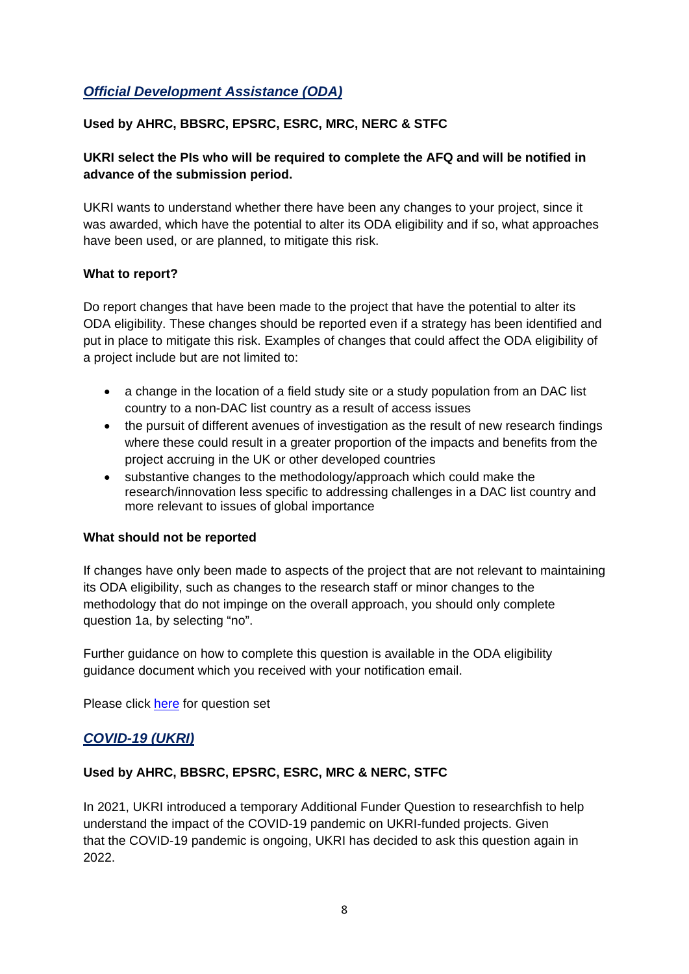# <span id="page-7-0"></span>*Official Development Assistance (ODA)*

# **Used by AHRC, BBSRC, EPSRC, ESRC, MRC, NERC & STFC**

# **UKRI select the PIs who will be required to complete the AFQ and will be notified in advance of the submission period.**

UKRI wants to understand whether there have been any changes to your project, since it was awarded, which have the potential to alter its ODA eligibility and if so, what approaches have been used, or are planned, to mitigate this risk.

#### **What to report?**

Do report changes that have been made to the project that have the potential to alter its ODA eligibility. These changes should be reported even if a strategy has been identified and put in place to mitigate this risk. Examples of changes that could affect the ODA eligibility of a project include but are not limited to:

- a change in the location of a field study site or a study population from an DAC list country to a non-DAC list country as a result of access issues
- the pursuit of different avenues of investigation as the result of new research findings where these could result in a greater proportion of the impacts and benefits from the project accruing in the UK or other developed countries
- substantive changes to the methodology/approach which could make the research/innovation less specific to addressing challenges in a DAC list country and more relevant to issues of global importance

#### **What should not be reported**

If changes have only been made to aspects of the project that are not relevant to maintaining its ODA eligibility, such as changes to the research staff or minor changes to the methodology that do not impinge on the overall approach, you should only complete question 1a, by selecting "no".

Further guidance on how to complete this question is available in the ODA eligibility guidance document which you received with your notification email.

Please click [here](#page-22-0) for question set

# <span id="page-7-1"></span>*COVID-19 (UKRI)*

# **Used by AHRC, BBSRC, EPSRC, ESRC, MRC & NERC, STFC**

In 2021, UKRI introduced a temporary Additional Funder Question to researchfish to help understand the impact of the COVID-19 pandemic on UKRI-funded projects. Given that the COVID-19 pandemic is ongoing, UKRI has decided to ask this question again in 2022.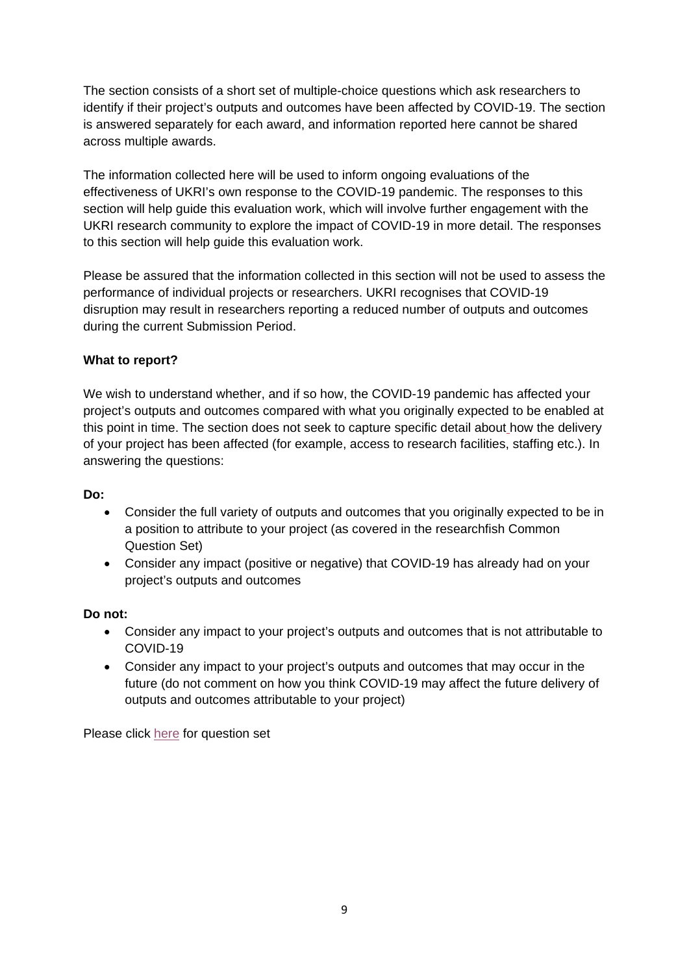The section consists of a short set of multiple-choice questions which ask researchers to identify if their project's outputs and outcomes have been affected by COVID-19. The section is answered separately for each award, and information reported here cannot be shared across multiple awards.

The information collected here will be used to inform ongoing evaluations of the effectiveness of UKRI's own response to the COVID-19 pandemic. The responses to this section will help guide this evaluation work, which will involve further engagement with the UKRI research community to explore the impact of COVID-19 in more detail. The responses to this section will help guide this evaluation work.

Please be assured that the information collected in this section will not be used to assess the performance of individual projects or researchers. UKRI recognises that COVID-19 disruption may result in researchers reporting a reduced number of outputs and outcomes during the current Submission Period.

# **What to report?**

We wish to understand whether, and if so how, the COVID-19 pandemic has affected your project's outputs and outcomes compared with what you originally expected to be enabled at this point in time. The section does not seek to capture specific detail about how the delivery of your project has been affected (for example, access to research facilities, staffing etc.). In answering the questions:

#### **Do:**

- Consider the full variety of outputs and outcomes that you originally expected to be in a position to attribute to your project (as covered in the researchfish Common Question Set)
- Consider any impact (positive or negative) that COVID-19 has already had on your project's outputs and outcomes

#### **Do not:**

- Consider any impact to your project's outputs and outcomes that is not attributable to COVID-19
- Consider any impact to your project's outputs and outcomes that may occur in the future (do not comment on how you think COVID-19 may affect the future delivery of outputs and outcomes attributable to your project)

Please click [here](#page-23-0) for question set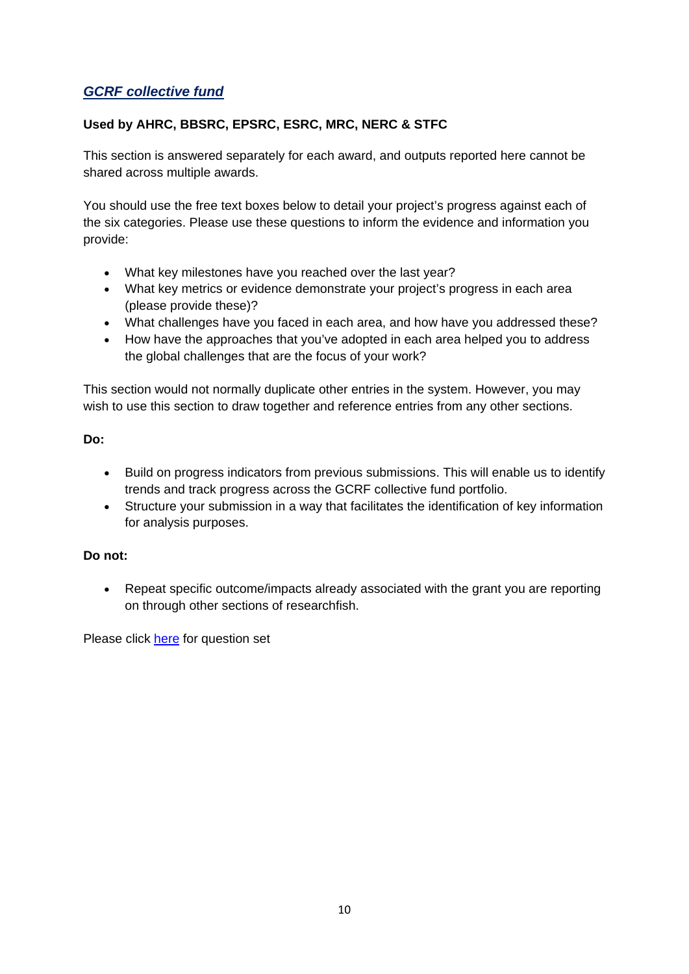# <span id="page-9-0"></span>*GCRF collective fund*

# **Used by AHRC, BBSRC, EPSRC, ESRC, MRC, NERC & STFC**

This section is answered separately for each award, and outputs reported here cannot be shared across multiple awards.

You should use the free text boxes below to detail your project's progress against each of the six categories. Please use these questions to inform the evidence and information you provide:

- What key milestones have you reached over the last year?
- What key metrics or evidence demonstrate your project's progress in each area (please provide these)?
- What challenges have you faced in each area, and how have you addressed these?
- How have the approaches that you've adopted in each area helped you to address the global challenges that are the focus of your work?

This section would not normally duplicate other entries in the system. However, you may wish to use this section to draw together and reference entries from any other sections.

#### **Do:**

- Build on progress indicators from previous submissions. This will enable us to identify trends and track progress across the GCRF collective fund portfolio.
- Structure your submission in a way that facilitates the identification of key information for analysis purposes.

# **Do not:**

• Repeat specific outcome/impacts already associated with the grant you are reporting on through other sections of researchfish.

Please click [here](#page-25-0) for question set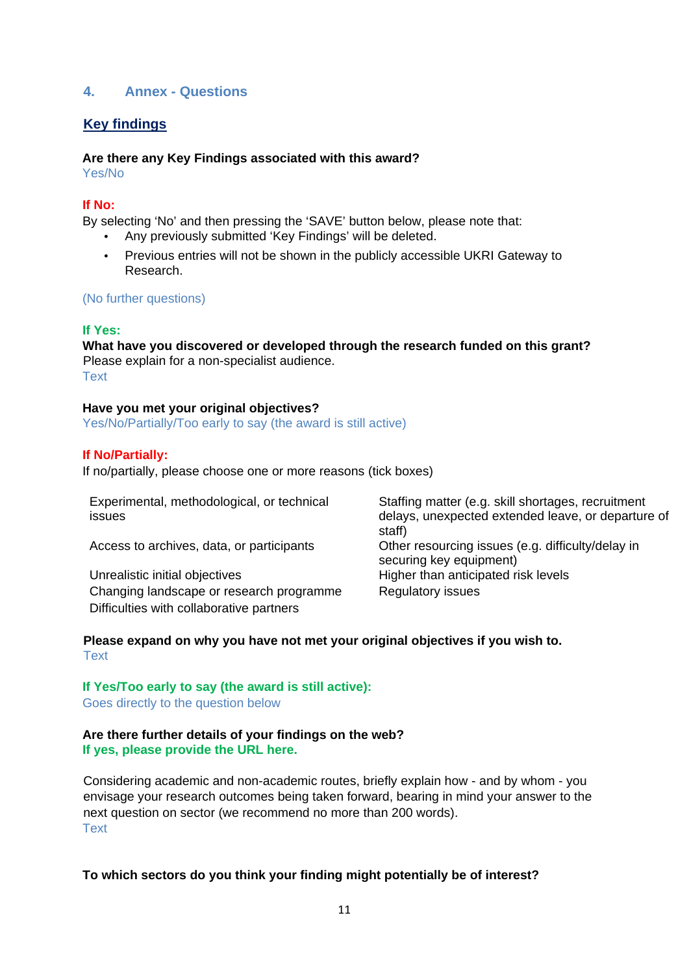# <span id="page-10-0"></span>**4. Annex - Questions**

# <span id="page-10-1"></span>**Key findings**

#### **Are there any Key Findings associated with this award?**

Yes/No

#### **If No:**

By selecting 'No' and then pressing the 'SAVE' button below, please note that:

- Any previously submitted 'Key Findings' will be deleted.
- Previous entries will not be shown in the publicly accessible UKRI Gateway to Research.

#### (No further questions)

#### **If Yes:**

**What have you discovered or developed through the research funded on this grant?**  Please explain for a non-specialist audience. **Text** 

#### **Have you met your original objectives?**

Yes/No/Partially/Too early to say (the award is still active)

#### **If No/Partially:**

If no/partially, please choose one or more reasons (tick boxes)

| Experimental, methodological, or technical<br>issues                                 | Staffing matter (e.g. skill shortages, recruitment<br>delays, unexpected extended leave, or departure of<br>staff) |
|--------------------------------------------------------------------------------------|--------------------------------------------------------------------------------------------------------------------|
| Access to archives, data, or participants                                            | Other resourcing issues (e.g. difficulty/delay in<br>securing key equipment)                                       |
| Unrealistic initial objectives                                                       | Higher than anticipated risk levels                                                                                |
| Changing landscape or research programme<br>Difficulties with collaborative partners | <b>Regulatory issues</b>                                                                                           |

#### **Please expand on why you have not met your original objectives if you wish to.** Text

# **If Yes/Too early to say (the award is still active):**

Goes directly to the question below

#### **Are there further details of your findings on the web? If yes, please provide the URL here.**

Considering academic and non-academic routes, briefly explain how - and by whom - you envisage your research outcomes being taken forward, bearing in mind your answer to the next question on sector (we recommend no more than 200 words). **Text** 

#### **To which sectors do you think your finding might potentially be of interest?**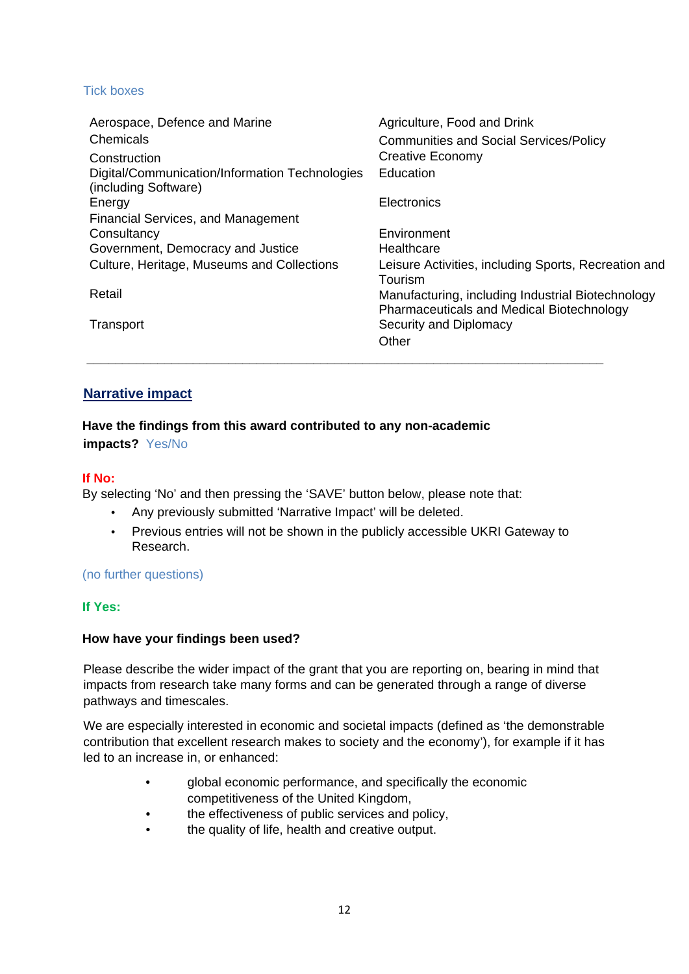#### Tick boxes

| Aerospace, Defence and Marine                                          | Agriculture, Food and Drink                                                                    |
|------------------------------------------------------------------------|------------------------------------------------------------------------------------------------|
| Chemicals                                                              | <b>Communities and Social Services/Policy</b>                                                  |
| Construction                                                           | Creative Economy                                                                               |
| Digital/Communication/Information Technologies<br>(including Software) | Education                                                                                      |
| Energy                                                                 | Electronics                                                                                    |
| <b>Financial Services, and Management</b>                              |                                                                                                |
| Consultancy                                                            | Environment                                                                                    |
| Government, Democracy and Justice                                      | Healthcare                                                                                     |
| Culture, Heritage, Museums and Collections                             | Leisure Activities, including Sports, Recreation and<br>Tourism                                |
| Retail                                                                 | Manufacturing, including Industrial Biotechnology<br>Pharmaceuticals and Medical Biotechnology |
| Transport                                                              | Security and Diplomacy<br>Other                                                                |

# <span id="page-11-0"></span>**Narrative impact**

#### **Have the findings from this award contributed to any non-academic impacts?** Yes/No

#### **If No:**

By selecting 'No' and then pressing the 'SAVE' button below, please note that:

- Any previously submitted 'Narrative Impact' will be deleted.
- Previous entries will not be shown in the publicly accessible UKRI Gateway to Research.

**\_\_\_\_\_\_\_\_\_\_\_\_\_\_\_\_\_\_\_\_\_\_\_\_\_\_\_\_\_\_\_\_\_\_\_\_\_\_\_\_\_\_\_\_\_\_\_\_\_\_\_\_\_\_\_\_\_\_\_\_\_\_\_\_\_\_\_\_\_\_\_\_\_**

#### (no further questions)

#### **If Yes:**

#### **How have your findings been used?**

Please describe the wider impact of the grant that you are reporting on, bearing in mind that impacts from research take many forms and can be generated through a range of diverse pathways and timescales.

We are especially interested in economic and societal impacts (defined as 'the demonstrable contribution that excellent research makes to society and the economy'), for example if it has led to an increase in, or enhanced:

- global economic performance, and specifically the economic competitiveness of the United Kingdom,
- the effectiveness of public services and policy,
- the quality of life, health and creative output.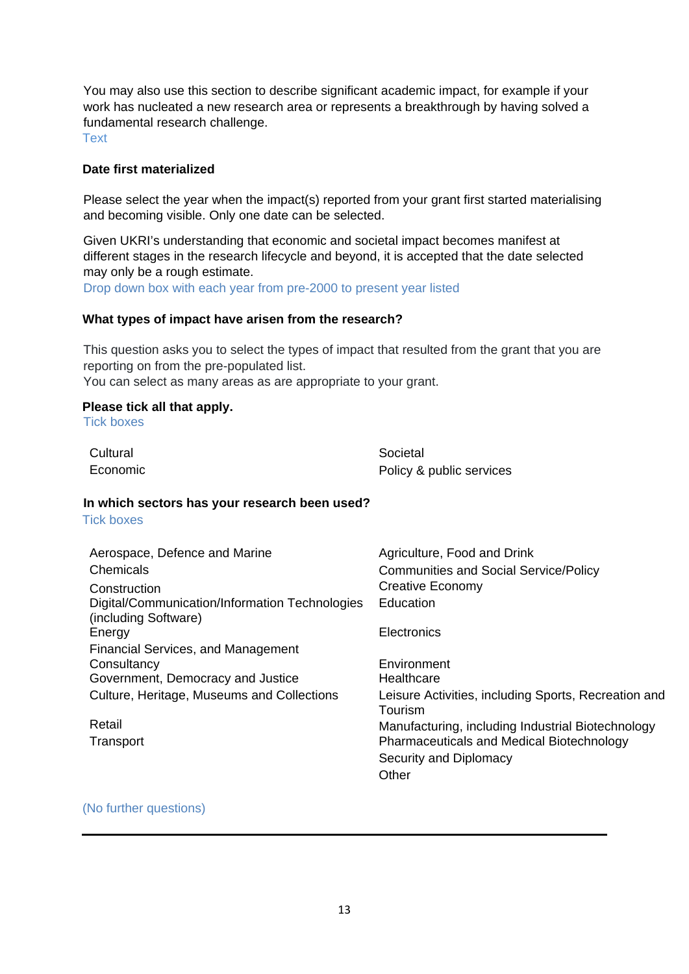You may also use this section to describe significant academic impact, for example if your work has nucleated a new research area or represents a breakthrough by having solved a fundamental research challenge.

Text

#### **Date first materialized**

Please select the year when the impact(s) reported from your grant first started materialising and becoming visible. Only one date can be selected.

Given UKRI's understanding that economic and societal impact becomes manifest at different stages in the research lifecycle and beyond, it is accepted that the date selected may only be a rough estimate.

Drop down box with each year from pre-2000 to present year listed

#### **What types of impact have arisen from the research?**

This question asks you to select the types of impact that resulted from the grant that you are reporting on from the pre-populated list.

You can select as many areas as are appropriate to your grant.

#### **Please tick all that apply.**

Tick boxes

| Cultural                                                               | Societal                                                        |
|------------------------------------------------------------------------|-----------------------------------------------------------------|
| Economic                                                               | Policy & public services                                        |
| In which sectors has your research been used?                          |                                                                 |
| <b>Tick boxes</b>                                                      |                                                                 |
| Aerospace, Defence and Marine                                          | Agriculture, Food and Drink                                     |
| Chemicals                                                              | <b>Communities and Social Service/Policy</b>                    |
| Construction                                                           | Creative Economy                                                |
| Digital/Communication/Information Technologies<br>(including Software) | Education                                                       |
| Energy                                                                 | Electronics                                                     |
| <b>Financial Services, and Management</b>                              |                                                                 |
| Consultancy                                                            | Environment                                                     |
| Government, Democracy and Justice                                      | Healthcare                                                      |
| Culture, Heritage, Museums and Collections                             | Leisure Activities, including Sports, Recreation and<br>Tourism |
| Retail                                                                 | Manufacturing, including Industrial Biotechnology               |
| Transport                                                              | <b>Pharmaceuticals and Medical Biotechnology</b>                |
|                                                                        | Security and Diplomacy                                          |
|                                                                        | Other                                                           |
|                                                                        |                                                                 |

#### (No further questions)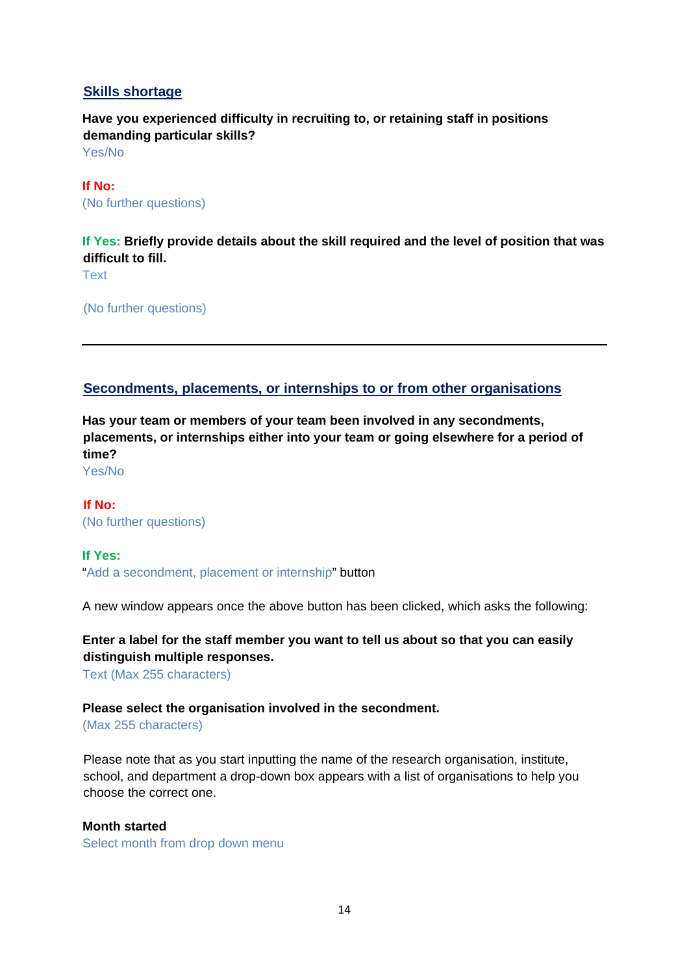# <span id="page-13-0"></span>**Skills shortage**

**Have you experienced difficulty in recruiting to, or retaining staff in positions demanding particular skills?**

Yes/No

**If No:** (No further questions)

**If Yes: Briefly provide details about the skill required and the level of position that was difficult to fill.** Text

(No further questions)

# <span id="page-13-1"></span>**Secondments, placements, or internships to or from other organisations**

**Has your team or members of your team been involved in any secondments, placements, or internships either into your team or going elsewhere for a period of time?** 

Yes/No

**If No:** (No further questions)

#### **If Yes:**

"Add a secondment, placement or internship" button

A new window appears once the above button has been clicked, which asks the following:

**Enter a label for the staff member you want to tell us about so that you can easily distinguish multiple responses.** 

Text (Max 255 characters)

#### **Please select the organisation involved in the secondment.**

(Max 255 characters)

Please note that as you start inputting the name of the research organisation, institute, school, and department a drop-down box appears with a list of organisations to help you choose the correct one.

#### **Month started**

Select month from drop down menu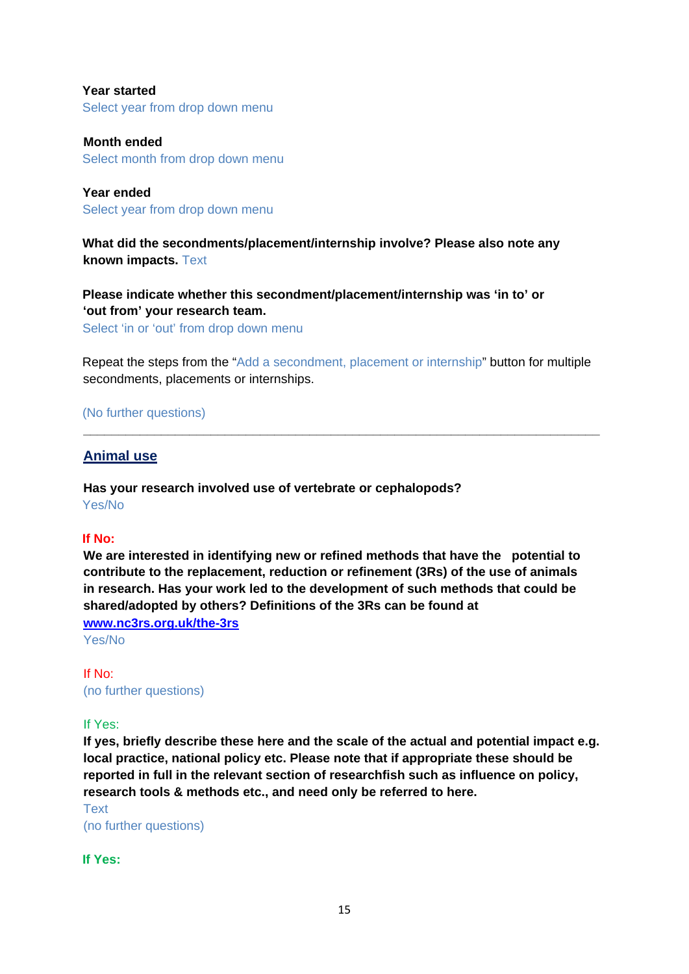**Year started** Select year from drop down menu

**Month ended** Select month from drop down menu

**Year ended** Select year from drop down menu

**What did the secondments/placement/internship involve? Please also note any known impacts.** Text

**Please indicate whether this secondment/placement/internship was 'in to' or 'out from' your research team.**

Select 'in or 'out' from drop down menu

Repeat the steps from the "Add a secondment, placement or internship" button for multiple secondments, placements or internships.

**\_\_\_\_\_\_\_\_\_\_\_\_\_\_\_\_\_\_\_\_\_\_\_\_\_\_\_\_\_\_\_\_\_\_\_\_\_\_\_\_\_\_\_\_\_\_\_\_\_\_\_\_\_\_\_\_\_\_\_\_\_\_\_\_\_\_\_\_\_\_\_\_\_**

(No further questions)

<span id="page-14-0"></span>**Animal use**

**Has your research involved use of vertebrate or cephalopods?** Yes/No

#### **If No:**

**We are interested in identifying new or refined methods that have the potential to contribute to the replacement, reduction or refinement (3Rs) of the use of animals in research. Has your work led to the development of such methods that could be shared/adopted by others? Definitions of the 3Rs can be found at [www.nc3rs.org.uk/the-3rs](http://www.nc3rs.org.uk/the-3rs)** 

Yes/No

If No: (no further questions)

If Yes:

**If yes, briefly describe these here and the scale of the actual and potential impact e.g. local practice, national policy etc. Please note that if appropriate these should be reported in full in the relevant section of researchfish such as influence on policy, research tools & methods etc., and need only be referred to here.**

Text (no further questions)

**If Yes:**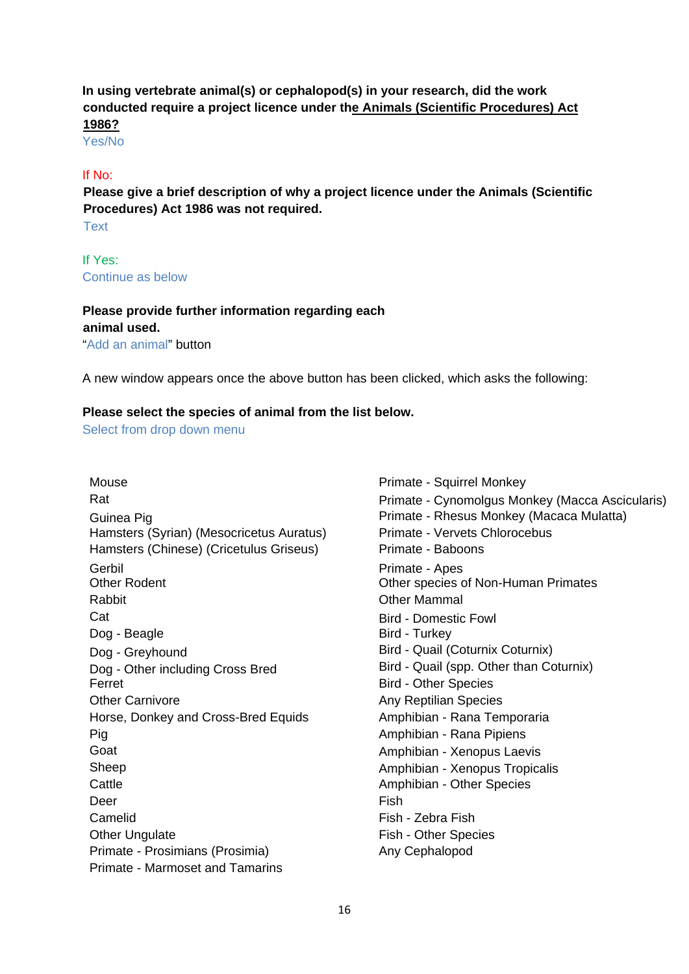# **In using vertebrate animal(s) or cephalopod(s) in your research, did the work conducted require a project licence under t[he Animals \(Scientific Procedures\) Act](http://www.gov.uk/research-and-testing-using-animals)  [1986?](http://www.gov.uk/research-and-testing-using-animals)**

Yes/No

#### If No:

**Please give a brief description of why a project licence under the Animals (Scientific Procedures) Act 1986 was not required.** 

**Text** 

If Yes: Continue as below

#### **Please provide further information regarding each**

**animal used.** 

"Add an animal" button

A new window appears once the above button has been clicked, which asks the following:

#### **Please select the species of animal from the list below.**

Select from drop down menu

Mouse **Mouse** Primate - Squirrel Monkey Hamsters (Syrian) (Mesocricetus Auratus) Primate - Vervets Chlorocebus Hamsters (Chinese) (Cricetulus Griseus) Primate - Baboons Gerbil Primate - Apes Rabbit **National Community Community** City Community Community Community Community Community Community Community Community Community Community Community Community Community Community Community Community Community Community Cat **Bird - Domestic Fowl** Dog - Beagle Bird - Turkey Dog - Greyhound **Bird - Quail (Coturnix Coturnix)** Dog - Other including Cross Bred Bird - Quail (spp. Other than Coturnix) Ferret **Bird - Other Species** Other Carnivore **Any Reptilian** Species **Any Reptilian** Species Horse, Donkey and Cross-Bred Equids **Amphibian - Rana Temporaria** Pig **Amphibian - Rana Pipiens** 2014 Goat **Amphibian - Xenopus Laevis Amphibian - Xenopus Laevis** Sheep **Amphibian - Xenopus Tropicalis** Cattle Amphibian - Other Species Deer Fish Camelid **Fish - Zebra Fish** Other Unquiate **Fish - Other Species** Primate - Prosimians (Prosimia) Any Cephalopod Primate - Marmoset and Tamarins

Rat **Primate - Cynomolgus Monkey (Macca Ascicularis)** Guinea Pig Primate - Rhesus Monkey (Macaca Mulatta) Other species of Non-Human Primates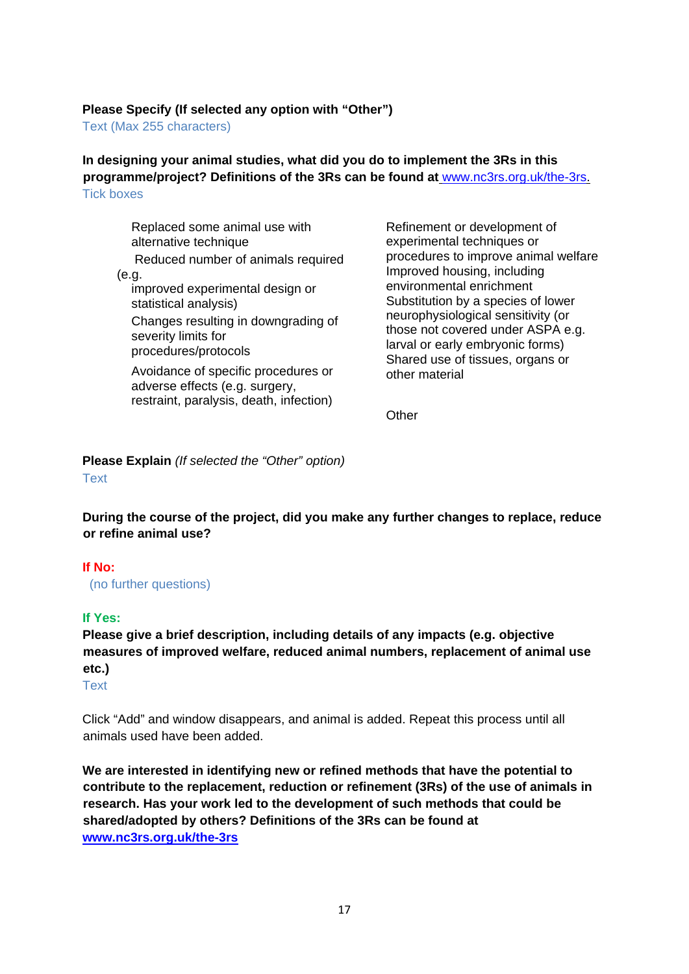#### **Please Specify (If selected any option with "Other")**

Text (Max 255 characters)

**In designing your animal studies, what did you do to implement the 3Rs in this programme/project? Definitions of the 3Rs can be found at** [www.nc3rs.org.uk/the-3rs.](http://www.nc3rs.org.uk/the-3rs) Tick boxes

Replaced some animal use with alternative technique Reduced number of animals required (e.g. improved experimental design or statistical analysis) Changes resulting in downgrading of severity limits for procedures/protocols Avoidance of specific procedures or adverse effects (e.g. surgery, restraint, paralysis, death, infection)

Refinement or development of experimental techniques or procedures to improve animal welfare Improved housing, including environmental enrichment Substitution by a species of lower neurophysiological sensitivity (or those not covered under ASPA e.g. larval or early embryonic forms) Shared use of tissues, organs or other material

**Other** 

**Please Explain** *(If selected the "Other" option)* Text

**During the course of the project, did you make any further changes to replace, reduce or refine animal use?** 

#### **If No:**

(no further questions)

#### **If Yes:**

**Please give a brief description, including details of any impacts (e.g. objective measures of improved welfare, reduced animal numbers, replacement of animal use etc.)** 

**Text** 

Click "Add" and window disappears, and animal is added. Repeat this process until all animals used have been added.

**We are interested in identifying new or refined methods that have the potential to contribute to the replacement, reduction or refinement (3Rs) of the use of animals in research. Has your work led to the development of such methods that could be shared/adopted by others? Definitions of the 3Rs can be found at [www.nc3rs.org.uk/the-3rs](http://www.nc3rs.org.uk/the-3rs)**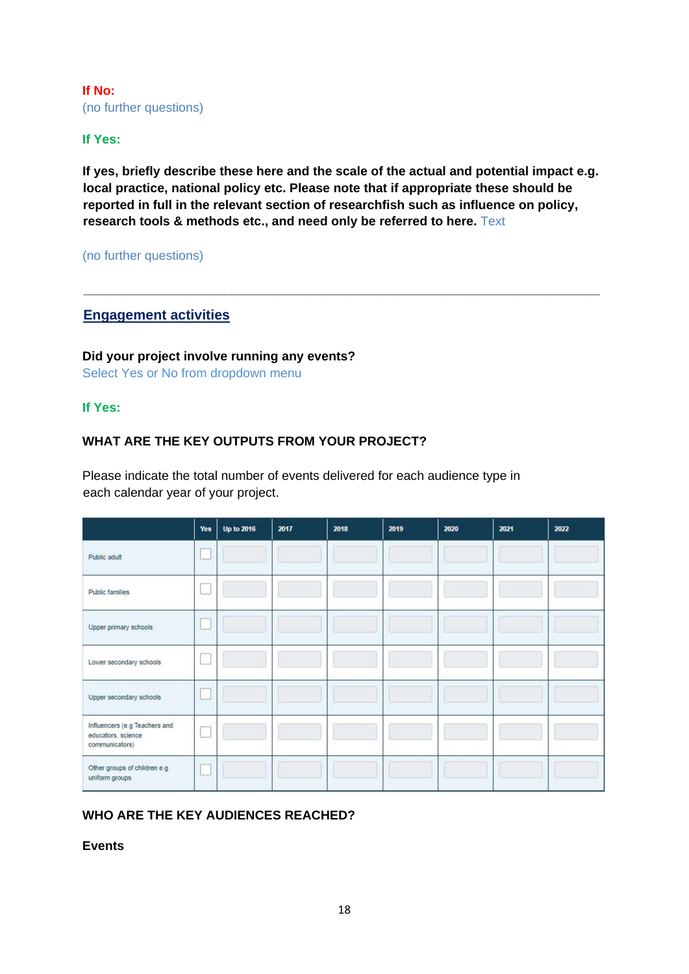**If No:**  (no further questions)

#### **If Yes:**

**If yes, briefly describe these here and the scale of the actual and potential impact e.g. local practice, national policy etc. Please note that if appropriate these should be reported in full in the relevant section of researchfish such as influence on policy, research tools & methods etc., and need only be referred to here.** Text

**\_\_\_\_\_\_\_\_\_\_\_\_\_\_\_\_\_\_\_\_\_\_\_\_\_\_\_\_\_\_\_\_\_\_\_\_\_\_\_\_\_\_\_\_\_\_\_\_\_\_\_\_\_\_\_\_\_\_\_\_\_\_\_\_\_\_\_\_\_\_\_\_\_**

(no further questions)

#### <span id="page-17-0"></span>**Engagement activities**

**Did your project involve running any events?** Select Yes or No from dropdown menu

#### **If Yes:**

### **WHAT ARE THE KEY OUTPUTS FROM YOUR PROJECT?**

Please indicate the total number of events delivered for each audience type in each calendar year of your project.

|                                                                       | Yes | <b>Up to 2016</b> | 2017 | 2018 | 2019 | 2020 | 2021 | 2022 |
|-----------------------------------------------------------------------|-----|-------------------|------|------|------|------|------|------|
| Public adult                                                          |     |                   |      |      |      |      |      |      |
| Public families                                                       |     |                   |      |      |      |      |      |      |
| Upper primary schools                                                 |     |                   |      |      |      |      |      |      |
| Lower secondary schools                                               |     |                   |      |      |      |      |      |      |
| Upper secondary schools                                               |     |                   |      |      |      |      |      |      |
| Influencers (e.g Teachers and<br>educators, science<br>communicators) |     |                   |      |      |      |      |      |      |
| Other groups of children e.g.<br>uniform groups                       |     |                   |      |      |      |      |      |      |

# **WHO ARE THE KEY AUDIENCES REACHED?**

**Events**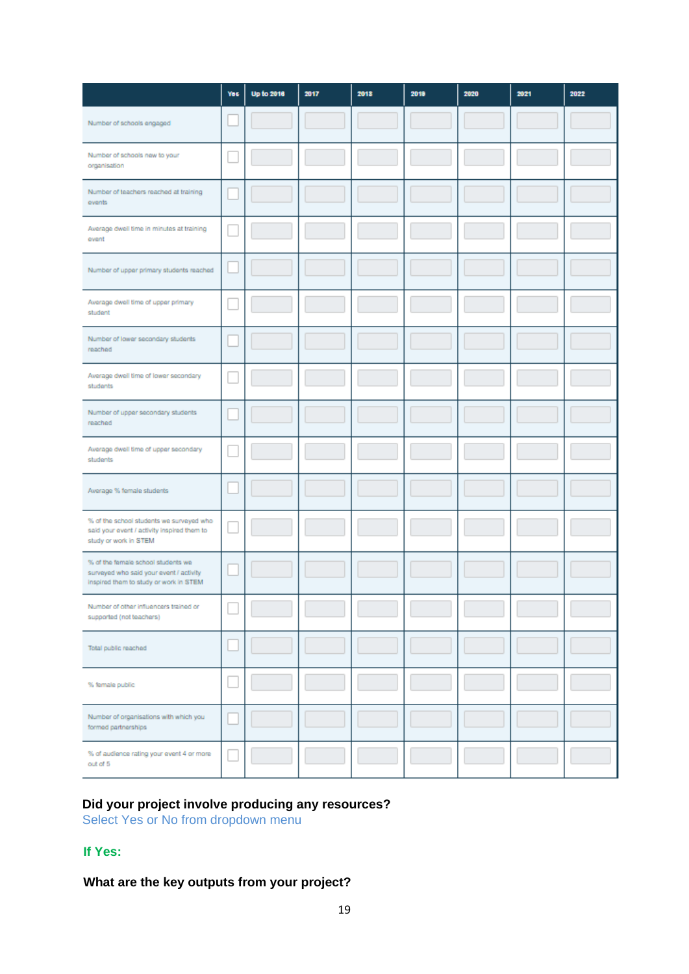|                                                                                                                         | <b>Yes</b> | <b>Up to 2018</b> | 2017 | 2018 | 2019 | 2020 | 2021 | 2022 |
|-------------------------------------------------------------------------------------------------------------------------|------------|-------------------|------|------|------|------|------|------|
| Number of schools engaged                                                                                               |            |                   |      |      |      |      |      |      |
| Number of schools new to your<br>organisation                                                                           |            |                   |      |      |      |      |      |      |
| Number of teachers reached at training<br>events                                                                        |            |                   |      |      |      |      |      |      |
| Average dwell time in minutes at training<br>event                                                                      |            |                   |      |      |      |      |      |      |
| Number of upper primary students reached                                                                                |            |                   |      |      |      |      |      |      |
| Average dwell time of upper primary<br>student                                                                          |            |                   |      |      |      |      |      |      |
| Number of lower secondary students<br>reached                                                                           |            |                   |      |      |      |      |      |      |
| Average dwell time of lower secondary<br>students                                                                       |            |                   |      |      |      |      |      |      |
| Number of upper secondary students<br>reached                                                                           |            |                   |      |      |      |      |      |      |
| Average dwell time of upper secondary<br>students                                                                       |            |                   |      |      |      |      |      |      |
| Average % female students                                                                                               |            |                   |      |      |      |      |      |      |
| % of the school students we surveyed who<br>said your event / activity inspired them to<br>study or work in STEM        |            |                   |      |      |      |      |      |      |
| % of the female school students we<br>surveyed who said your event / activity<br>inspired them to study or work in STEM |            |                   |      |      |      |      |      |      |
| Number of other influencers trained or<br>supported (not teachers)                                                      |            |                   |      |      |      |      |      |      |
| Total public reached                                                                                                    |            |                   |      |      |      |      |      |      |
| % female public                                                                                                         |            |                   |      |      |      |      |      |      |
| Number of organisations with which you<br>formed partnerships                                                           |            |                   |      |      |      |      |      |      |
| % of audience rating your event 4 or more<br>out of 5                                                                   |            |                   |      |      |      |      |      |      |

#### **Did your project involve producing any resources?**

Select Yes or No from dropdown menu

# **If Yes:**

# **What are the key outputs from your project?**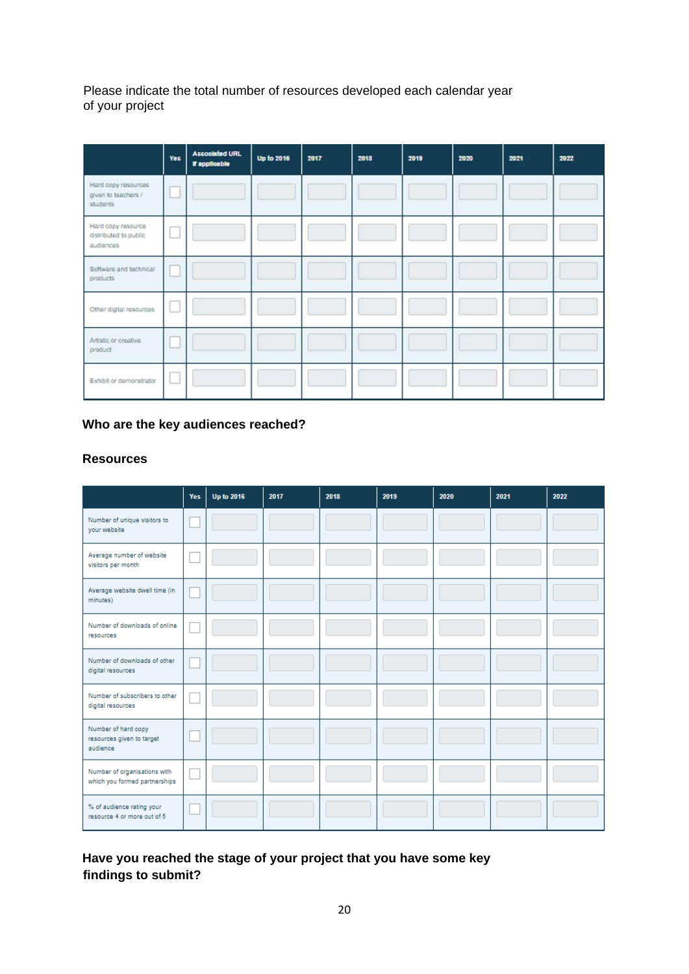Please indicate the total number of resources developed each calendar year of your project

|                                                          | Yes | <b>Accoolated URL</b><br>If applicable | <b>Up to 2018</b> | 2017 | 2013 | 2019 | 2020 | 2021 | 2022 |
|----------------------------------------------------------|-----|----------------------------------------|-------------------|------|------|------|------|------|------|
| Hard copy resources<br>given to teachers /<br>students   |     |                                        |                   |      |      |      |      |      |      |
| Hard copy resource<br>distributed to public<br>audiences |     |                                        |                   |      |      |      |      |      |      |
| Software and technical<br>products                       |     |                                        |                   |      |      |      |      |      |      |
| Other digital resources                                  |     |                                        |                   |      |      |      |      |      |      |
| Artistic or creative<br>product                          |     |                                        |                   |      |      |      |      |      |      |
| Exhibit or demonstrator                                  |     |                                        |                   |      |      |      |      |      |      |

# **Who are the key audiences reached?**

#### **Resources**

|                                                               | Yes | <b>Up to 2016</b> | 2017 | 2018 | 2019 | 2020 | 2021 | 2022 |
|---------------------------------------------------------------|-----|-------------------|------|------|------|------|------|------|
| Number of unique visitors to<br>your website                  |     |                   |      |      |      |      |      |      |
| Average number of website<br>visitors per month               |     |                   |      |      |      |      |      |      |
| Average website dwell time (in<br>minutes)                    |     |                   |      |      |      |      |      |      |
| Number of downloads of online<br>resources                    |     |                   |      |      |      |      |      |      |
| Number of downloads of other<br>digital resources             |     |                   |      |      |      |      |      |      |
| Number of subscribers to other<br>digital resources           |     |                   |      |      |      |      |      |      |
| Number of hard copy<br>resources given to target<br>audience  |     |                   |      |      |      |      |      |      |
| Number of organisations with<br>which you formed partnerships |     |                   |      |      |      |      |      |      |
| % of audience rating your<br>resource 4 or more out of 5      |     |                   |      |      |      |      |      |      |

# **Have you reached the stage of your project that you have some key findings to submit?**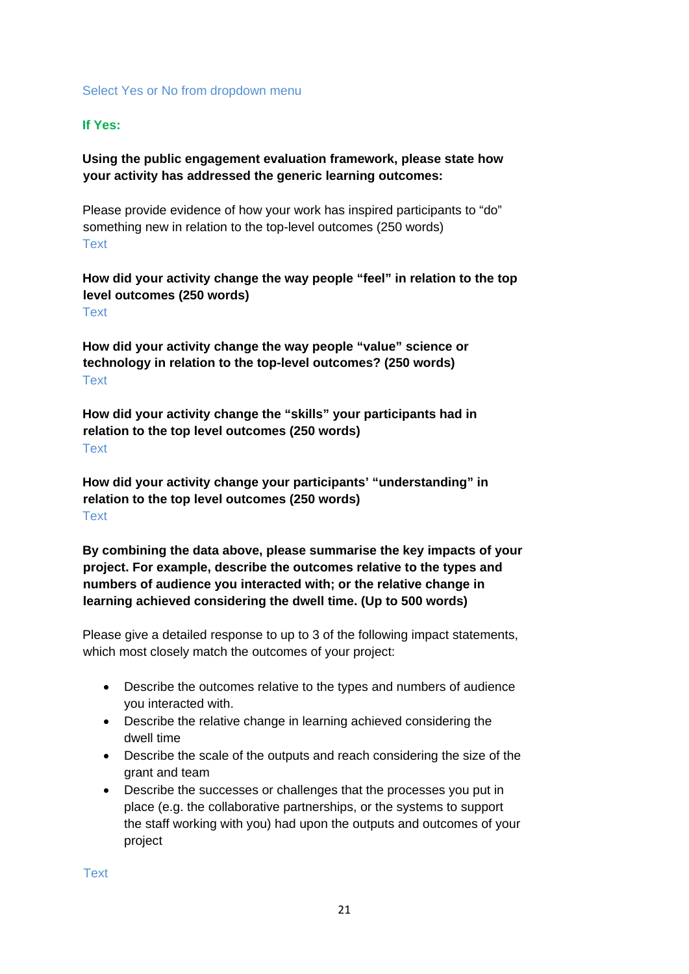#### Select Yes or No from dropdown menu

#### **If Yes:**

# **Using the public engagement evaluation framework, please state how your activity has addressed the generic learning outcomes:**

Please provide evidence of how your work has inspired participants to "do" something new in relation to the top-level outcomes (250 words) **Text** 

#### **How did your activity change the way people "feel" in relation to the top level outcomes (250 words)** Text

**How did your activity change the way people "value" science or technology in relation to the top-level outcomes? (250 words)** Text

**How did your activity change the "skills" your participants had in relation to the top level outcomes (250 words) Text** 

**How did your activity change your participants' "understanding" in relation to the top level outcomes (250 words)** Text

**By combining the data above, please summarise the key impacts of your project. For example, describe the outcomes relative to the types and numbers of audience you interacted with; or the relative change in learning achieved considering the dwell time. (Up to 500 words)**

Please give a detailed response to up to 3 of the following impact statements, which most closely match the outcomes of your project:

- Describe the outcomes relative to the types and numbers of audience you interacted with.
- Describe the relative change in learning achieved considering the dwell time
- Describe the scale of the outputs and reach considering the size of the grant and team
- Describe the successes or challenges that the processes you put in place (e.g. the collaborative partnerships, or the systems to support the staff working with you) had upon the outputs and outcomes of your project

Text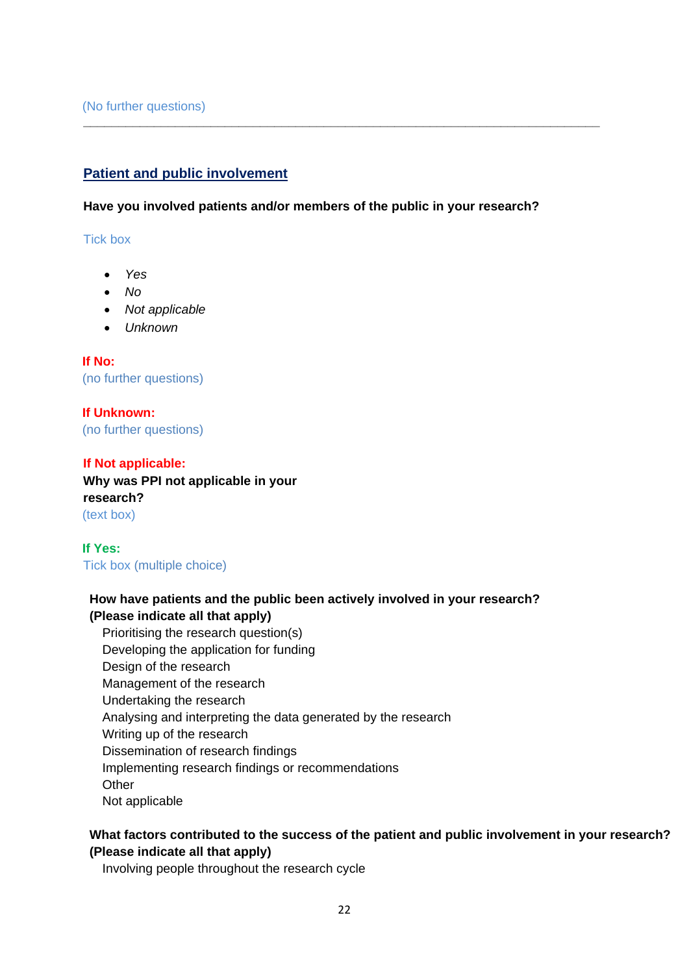# **Patient and public involvement**

**Have you involved patients and/or members of the public in your research?**

<span id="page-21-0"></span>**\_\_\_\_\_\_\_\_\_\_\_\_\_\_\_\_\_\_\_\_\_\_\_\_\_\_\_\_\_\_\_\_\_\_\_\_\_\_\_\_\_\_\_\_\_\_\_\_\_\_\_\_\_\_\_\_\_\_\_\_\_\_\_\_\_\_\_\_\_\_\_\_\_**

Tick box

- *Yes*
- *No*
- *Not applicable*
- *Unknown*

**If No:**  (no further questions)

**If Unknown:**  (no further questions)

**If Not applicable: Why was PPI not applicable in your research?** (text box)

**If Yes:**  Tick box (multiple choice)

# **How have patients and the public been actively involved in your research? (Please indicate all that apply)**

Prioritising the research question(s) Developing the application for funding Design of the research Management of the research Undertaking the research Analysing and interpreting the data generated by the research Writing up of the research Dissemination of research findings Implementing research findings or recommendations **Other** Not applicable

#### **What factors contributed to the success of the patient and public involvement in your research? (Please indicate all that apply)**

Involving people throughout the research cycle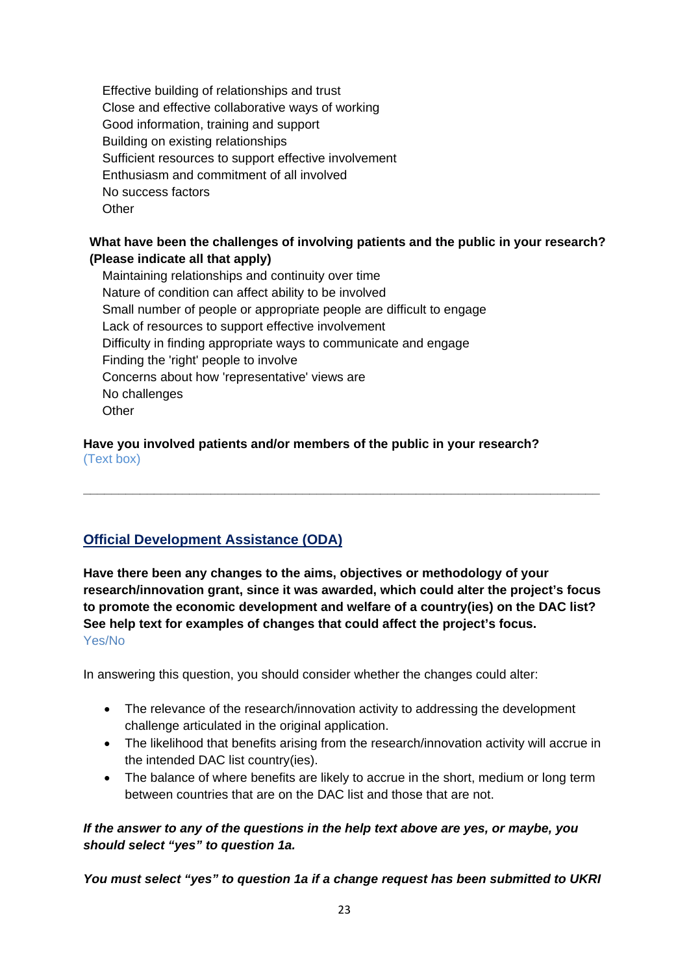Effective building of relationships and trust Close and effective collaborative ways of working Good information, training and support Building on existing relationships Sufficient resources to support effective involvement Enthusiasm and commitment of all involved No success factors **Other** 

# **What have been the challenges of involving patients and the public in your research? (Please indicate all that apply)**

Maintaining relationships and continuity over time Nature of condition can affect ability to be involved Small number of people or appropriate people are difficult to engage Lack of resources to support effective involvement Difficulty in finding appropriate ways to communicate and engage Finding the 'right' people to involve Concerns about how 'representative' views are No challenges **Other** 

#### **Have you involved patients and/or members of the public in your research?** (Text box)

# **Official Development Assistance (ODA)**

**Have there been any changes to the aims, objectives or methodology of your research/innovation grant, since it was awarded, which could alter the project's focus to promote the economic development and welfare of a country(ies) on the DAC list? See help text for examples of changes that could affect the project's focus.** Yes/No

<span id="page-22-0"></span>**\_\_\_\_\_\_\_\_\_\_\_\_\_\_\_\_\_\_\_\_\_\_\_\_\_\_\_\_\_\_\_\_\_\_\_\_\_\_\_\_\_\_\_\_\_\_\_\_\_\_\_\_\_\_\_\_\_\_\_\_\_\_\_\_\_\_\_\_\_\_\_\_\_**

In answering this question, you should consider whether the changes could alter:

- The relevance of the research/innovation activity to addressing the development challenge articulated in the original application.
- The likelihood that benefits arising from the research/innovation activity will accrue in the intended DAC list country(ies).
- The balance of where benefits are likely to accrue in the short, medium or long term between countries that are on the DAC list and those that are not.

# *If the answer to any of the questions in the help text above are yes, or maybe, you should select "yes" to question 1a.*

*You must select "yes" to question 1a if a change request has been submitted to UKRI*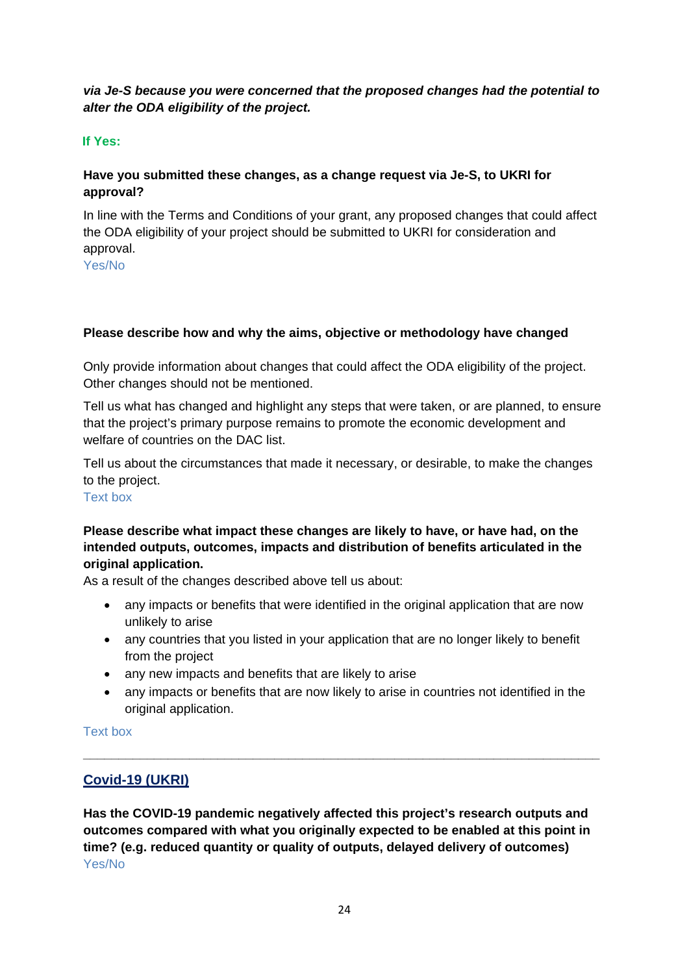# *via Je-S because you were concerned that the proposed changes had the potential to alter the ODA eligibility of the project.*

# **If Yes:**

# **Have you submitted these changes, as a change request via Je-S, to UKRI for approval?**

In line with the Terms and Conditions of your grant, any proposed changes that could affect the ODA eligibility of your project should be submitted to UKRI for consideration and approval.

Yes/No

# **Please describe how and why the aims, objective or methodology have changed**

Only provide information about changes that could affect the ODA eligibility of the project. Other changes should not be mentioned.

Tell us what has changed and highlight any steps that were taken, or are planned, to ensure that the project's primary purpose remains to promote the economic development and welfare of countries on the DAC list.

Tell us about the circumstances that made it necessary, or desirable, to make the changes to the project.

Text box

# **Please describe what impact these changes are likely to have, or have had, on the intended outputs, outcomes, impacts and distribution of benefits articulated in the original application.**

As a result of the changes described above tell us about:

- any impacts or benefits that were identified in the original application that are now unlikely to arise
- any countries that you listed in your application that are no longer likely to benefit from the project
- any new impacts and benefits that are likely to arise
- <span id="page-23-0"></span>• any impacts or benefits that are now likely to arise in countries not identified in the original application.

**\_\_\_\_\_\_\_\_\_\_\_\_\_\_\_\_\_\_\_\_\_\_\_\_\_\_\_\_\_\_\_\_\_\_\_\_\_\_\_\_\_\_\_\_\_\_\_\_\_\_\_\_\_\_\_\_\_\_\_\_\_\_\_\_\_\_\_\_\_\_\_\_\_**

#### Text box

# **Covid-19 (UKRI)**

**Has the COVID-19 pandemic negatively affected this project's research outputs and outcomes compared with what you originally expected to be enabled at this point in time? (e.g. reduced quantity or quality of outputs, delayed delivery of outcomes)** Yes/No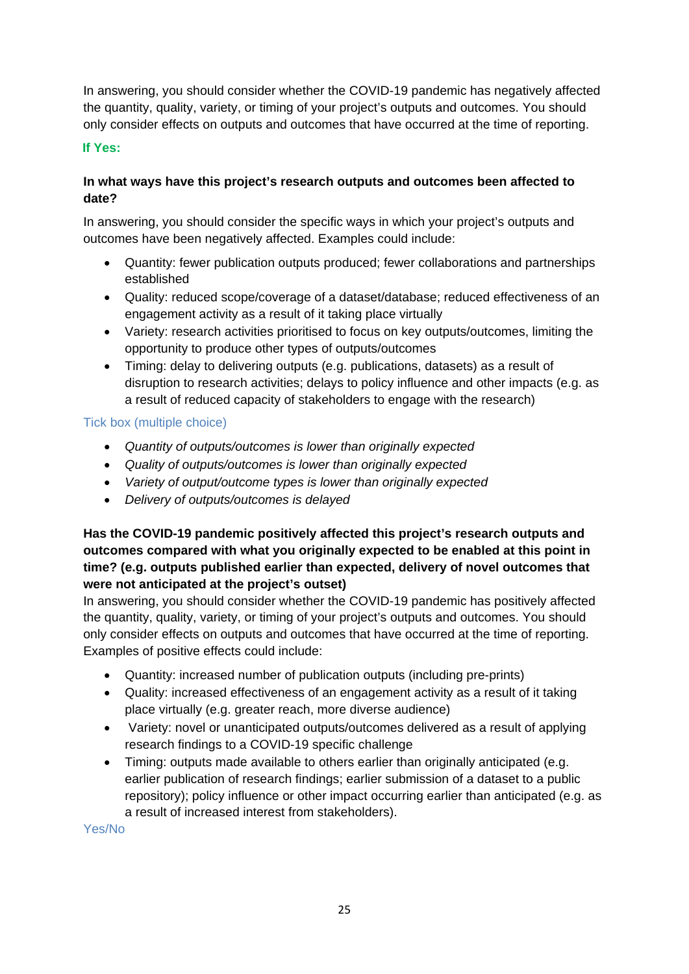In answering, you should consider whether the COVID-19 pandemic has negatively affected the quantity, quality, variety, or timing of your project's outputs and outcomes. You should only consider effects on outputs and outcomes that have occurred at the time of reporting.

### **If Yes:**

# **In what ways have this project's research outputs and outcomes been affected to date?**

In answering, you should consider the specific ways in which your project's outputs and outcomes have been negatively affected. Examples could include:

- Quantity: fewer publication outputs produced; fewer collaborations and partnerships established
- Quality: reduced scope/coverage of a dataset/database; reduced effectiveness of an engagement activity as a result of it taking place virtually
- Variety: research activities prioritised to focus on key outputs/outcomes, limiting the opportunity to produce other types of outputs/outcomes
- Timing: delay to delivering outputs (e.g. publications, datasets) as a result of disruption to research activities; delays to policy influence and other impacts (e.g. as a result of reduced capacity of stakeholders to engage with the research)

# Tick box (multiple choice)

- *Quantity of outputs/outcomes is lower than originally expected*
- *Quality of outputs/outcomes is lower than originally expected*
- *Variety of output/outcome types is lower than originally expected*
- *Delivery of outputs/outcomes is delayed*

# **Has the COVID-19 pandemic positively affected this project's research outputs and outcomes compared with what you originally expected to be enabled at this point in time? (e.g. outputs published earlier than expected, delivery of novel outcomes that were not anticipated at the project's outset)**

In answering, you should consider whether the COVID-19 pandemic has positively affected the quantity, quality, variety, or timing of your project's outputs and outcomes. You should only consider effects on outputs and outcomes that have occurred at the time of reporting. Examples of positive effects could include:

- Quantity: increased number of publication outputs (including pre-prints)
- Quality: increased effectiveness of an engagement activity as a result of it taking place virtually (e.g. greater reach, more diverse audience)
- Variety: novel or unanticipated outputs/outcomes delivered as a result of applying research findings to a COVID-19 specific challenge
- Timing: outputs made available to others earlier than originally anticipated (e.g. earlier publication of research findings; earlier submission of a dataset to a public repository); policy influence or other impact occurring earlier than anticipated (e.g. as a result of increased interest from stakeholders).

Yes/No